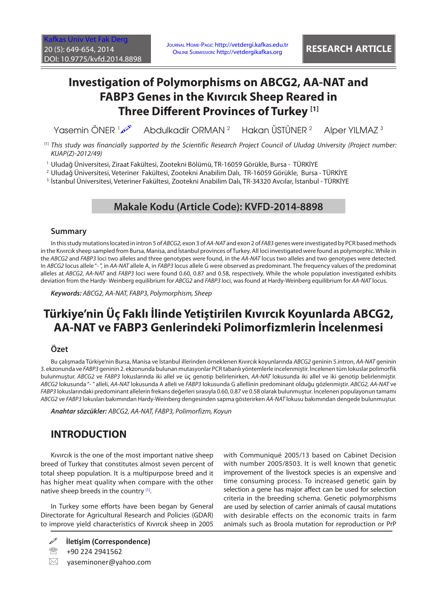# **Investigation of Polymorphisms on ABCG2, AA-NAT and FABP3 Genes in the Kıvırcık Sheep Reared in Three Different Provinces of Turkey [1]**

Yasemin ÖNER 100 Abdulkadir ORMAN 2 Hakan ÜSTÜNER 2 Alper YILMAZ 3

- [1] This study was financially supported by the Scientific Research Project Council of Uludag University (Project number: *KUAP(Z)-2012/49)*
- 1 Uludağ Üniversitesi, Ziraat Fakültesi, Zootekni Bölümü, TR-16059 Görükle, Bursa TÜRKİYE

2 Uludağ Üniversitesi, Veteriner Fakültesi, Zootekni Anabilim Dalı, TR-16059 Görükle, Bursa - TÜRKİYE

3 İstanbul Üniversitesi, Veteriner Fakültesi, Zootekni Anabilim Dalı, TR-34320 Avcılar, İstanbul - TÜRKİYE

### **Makale Kodu (Article Code): KVFD-2014-8898**

#### **Summary**

In this study mutations located in intron 5 of *ABCG2,* exon 3 of *AA-NAT* and exon 2 of *FAB3* genes were investigated by PCR based methods in the Kıvırcık sheep sampled from Bursa, Manisa, and İstanbul provinces of Turkey. All loci investigated were found as polymorphic. While in the *ABCG2* and *FABP3* loci two alleles and three genotypes were found, in the *AA-NAT* locus two alleles and two genotypes were detected. In *ABCG2* locus allele "- ", in *AA-NAT* allele A, in *FABP3* locus allele G were observed as predominant. The frequency values of the predominat alleles at *ABCG2, AA-NAT* and *FABP3* loci were found 0.60, 0.87 and 0.58, respectively. While the whole population investigated exhibits deviation from the Hardy- Weinberg equilibrium for *ABCG2* and *FABP3* loci, was found at Hardy-Weinberg equilibrium for *AA-NAT* locus.

*Keywords: ABCG2, AA-NAT, FABP3, Polymorphism, Sheep*

# **Türkiye'nin Üç Faklı İlinde Yetiştirilen Kıvırcık Koyunlarda ABCG2, AA-NAT ve FABP3 Genlerindeki Polimorfizmlerin İncelenmesi**

#### **Özet**

Bu çalışmada Türkiye'nin Bursa, Manisa ve İstanbul illerinden örneklenen Kıvırcık koyunlarında *ABCG2* geninin 5.intron, *AA-NAT* geninin 3. ekzonunda ve *FABP3* geninin 2. ekzonunda bulunan mutasyonlar PCR tabanlı yöntemlerle incelenmiştir. İncelenen tüm lokuslar polimorfik bulunmuştur. *ABCG2* ve *FABP3* lokuslarında iki allel ve üç genotip belirlenirken, *AA-NAT* lokusunda iki allel ve iki genotip belirlenmiştir. *ABCG2* lokusunda "- " alleli, *AA-NAT* lokusunda A alleli ve *FABP3* lokusunda G allellinin predominant olduğu gözlenmiştir. *ABCG2, AA-NAT* ve *FABP3* lokuslarındaki predominant allelerin frekans değerleri sırasıyla 0.60, 0.87 ve 0.58 olarak bulunmuştur. İncelenen populayonun tamamı *ABCG2* ve *FABP3* lokusları bakımından Hardy-Weinberg dengesinden sapma gösterirken *AA-NAT* lokusu bakımından dengede bulunmuştur.

*Anahtar sözcükler: ABCG2, AA-NAT, FABP3, Polimorfizm, Koyun*

## **INTRODUCTION**

Kıvırcık is the one of the most important native sheep breed of Turkey that constitutes almost seven percent of total sheep population. It is a multipurpose breed and it has higher meat quality when compare with the other native sheep breeds in the country [\[1\]](#page-4-0).

In Turkey some efforts have been began by General Directorate for Agricultural Research and Policies (GDAR) to improve yield characteristics of Kıvırcık sheep in 2005

**İletişim (Correspondence)**

<sup>2</sup> +90 224 2941562

 $\boxtimes$  vaseminoner@yahoo.com

with Communiqué 2005/13 based on Cabinet Decision with number 2005/8503. It is well known that genetic improvement of the livestock species is an expensive and time consuming process. To increased genetic gain by selection a gene has major affect can be used for selection criteria in the breeding schema. Genetic polymorphisms are used by selection of carrier animals of causal mutations with desirable effects on the economic traits in farm animals such as Broola mutation for reproduction or PrP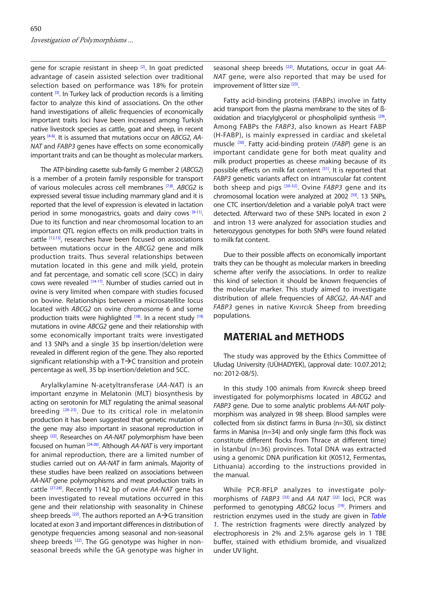gene for scrapie resistant in sheep [\[2\].](#page-4-0) In goat predicted advantage of casein assisted selection over traditional selection based on performance was 18% for protein content  $[3]$ . In Turkey lack of production records is a limiting factor to analyze this kind of associations. On the other hand investigations of allelic frequencies of economically important traits loci have been increased among Turkish native livestock species as cattle, goat and sheep, in recent years [\[4-6\].](#page-4-0) It is assumed that mutations occur on *ABCG2*, *AA-NAT* and *FABP3* genes have effects on some economically important traits and can be thought as molecular markers.

The ATP-binding casette sub-family G member 2 (*ABCG2*) is a member of a protein family responsible for transport of various molecules across cell membranes [\[7,8\]](#page-4-0). *ABCG2* is expressed several tissue including mammary gland and it is reported that the level of expression is elevated in lactation period in some monogastrics, goats and dairy cows  $[9-11]$ . Due to its function and near chromosomal location to an important QTL region effects on milk production traits in cattle [\[12,13\],](#page-4-0) researches have been focused on associations between mutations occur in the *ABCG2* gene and milk production traits. Thus several relationships between mutation located in this gene and milk yield, protein and fat percentage, and somatic cell score (SCC) in dairy cows were revealed [\[14-17\].](#page-4-0) Number of studies carried out in ovine is very limited when compare with studies focused on bovine. Relationships between a microsatellite locus located with *ABCG2* on ovine chromosome 6 and some production traits were highlighted [\[18\].](#page-4-0) In a recent stud[y \[19\]](#page-4-0) mutations in ovine *ABCG2* gene and their relationship with some economically important traits were investigated and 13 SNPs and a single 35 bp insertion/deletion were revealed in different region of the gene. They also reported significant relationship with a  $T\rightarrow C$  transition and protein percentage as well, 35 bp insertion/deletion and SCC.

Arylalkylamine N-acetyltransferase (*AA-NAT*) is an important enzyme in Melatonin (MLT) biosynthesis by acting on serotonin for MLT regulating the animal seasonal breeding  $[20-23]$ . Due to its critical role in melatonin production it has been suggested that genetic mutation of the gene may also important in seasonal reproduction in sheep [\[22\].](#page-4-0) Researches on *AA-NAT* polymorphism have been focused on human [\[24-26\].](#page-4-0) Although *AA-NAT* is very important for animal reproduction, there are a limited number of studies carried out on *AA-NAT* in farm animals. Majority of these studies have been realized on associations between *AA-NAT* gene polymorphisms and meat production traits in cattle [\[27,28\]](#page-4-0). Recently 1142 bp of ovine *AA-NAT* gene has been investigated to reveal mutations occurred in this gene and their relationship with seasonality in Chinese sheep breeds  $^{[22]}$  $^{[22]}$  $^{[22]}$ . The authors reported an A $\rightarrow$ G transition located at exon 3 and important differences in distribution of genotype frequencies among seasonal and non-seasonal sheep breeds  $[22]$ . The GG genotype was higher in nonseasonal breeds while the GA genotype was higher in

seasonal sheep breeds [\[22\]](#page-4-0). Mutations, occur in goat *AA-NAT* gene, were also reported that may be used for improvement of litter size<sup>[23]</sup>.

Fatty acid-binding proteins (FABPs) involve in fatty acid transport from the plasma membrane to the sites of ßoxidation and triacylglycerol or phospholipid synthesis<sup>[29]</sup>. Among FABPs the *FABP3*, also known as Heart FABP (H-FABP), is mainly expressed in cardiac and skeletal muscle [\[30\].](#page-4-0) Fatty acid-binding protein (*FABP*) gene is an important candidate gene for both meat quality and milk product properties as cheese making because of its possible effects on milk fat content [\[31\].](#page-5-0) It is reported that *FABP3* genetic variants affect on intramuscular fat content both sheep and pigs [\[30-32\].](#page-4-0) Ovine *FABP3* gene and its chromosomal location were analyzed at 2002 [\[33\].](#page-5-0) 13 SNPs, one CTC insertion/deletion and a variable polyA tract were detected. Afterward two of these SNPs located in exon 2 and intron 13 were analyzed for association studies and heterozygous genotypes for both SNPs were found related to milk fat content.

Due to their possible affects on economically important traits they can be thought as molecular markers in breeding scheme after verify the associations. In order to realize this kind of selection it should be known frequencies of the molecular marker. This study aimed to investigate distribution of allele frequencies of *ABCG2*, *AA-NAT* and *FABP3* genes in native Kıvırcık Sheep from breeding populations.

### **MATERIAL and METHODS**

The study was approved by the Ethics Committee of Uludag University (UÜHADYEK), (approval date: 10.07.2012; no: 2012-08/5).

In this study 100 animals from Kıvırcık sheep breed investigated for polymorphisms located in *ABCG2* and *FABP3* gene. Due to some analytic problems *AA-NAT* polymorphism was analyzed in 98 sheep. Blood samples were collected from six distinct farms in Bursa (n=30), six distinct farms in Manisa (n=34) and only single farm (this flock was constitute different flocks from Thrace at different time) in İstanbul (n=36) provinces. Total DNA was extracted using a genomic DNA purification kit (K0512, Fermentas, Lithuania) according to the instructions provided in the manual.

While PCR-RFLP analyzes to investigate polymorphisms of *FABP3* [\[33\]](#page-5-0) and *AA NAT* [\[22\]](#page-4-0) loci, PCR was performed to genotyping ABCG2 locus<sup>[\[19\]](#page-4-0)</sup>. Primers and restriction enzymes used in the study are given in *Table 1*[. The restriction fragments were directly analyzed by](#page-2-0)  electrophoresis in 2% and 2.5% agarose gels in 1 TBE buffer, stained with ethidium bromide, and visualized under UV light.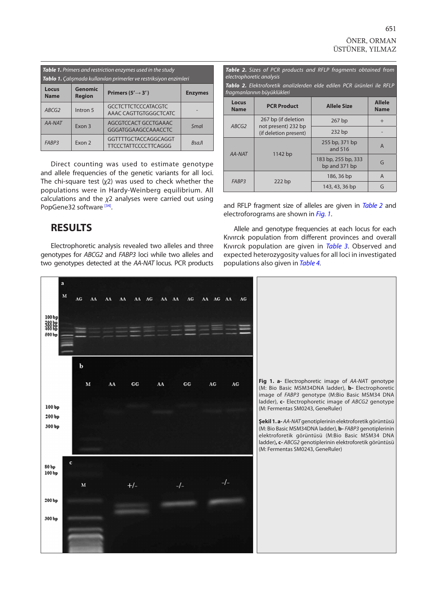<span id="page-2-0"></span>

| <b>Table 1.</b> Primers and restriction enzymes used in the study<br>Tablo 1. Çalışmada kullanılan primerler ve restriksiyon enzimleri |                     |                                                     |          |  |  |  |  |
|----------------------------------------------------------------------------------------------------------------------------------------|---------------------|-----------------------------------------------------|----------|--|--|--|--|
| <b>Genomic</b><br>Locus<br>Primers ( $5' \rightarrow 3'$ )<br><b>Enzymes</b><br><b>Name</b><br><b>Region</b>                           |                     |                                                     |          |  |  |  |  |
| ABCG2                                                                                                                                  | Intron <sub>5</sub> | <b>GCCTCTTCTCCCATACGTC</b><br>AAAC CAGTTGTGGGCTCATC |          |  |  |  |  |
| AA-NAT                                                                                                                                 | Fxon 3              | AGCGTCCACT GCCTGAAAC<br>GGGATGGAAGCCAAACCTC         | Smal     |  |  |  |  |
| FARP3                                                                                                                                  | Fxon 2              | GGTTTTGCTACCAGGCAGGT<br><b>TTCCCTATTCCCCTTCAGGG</b> | $R$ sall |  |  |  |  |

Direct counting was used to estimate genotype and allele frequencies of the genetic variants for all loci. The chi-square test (*χ*2) was used to check whether the populations were in Hardy-Weinberg equilibrium. All calculations and the *χ*2 analyses were carried out using PopGene32 software [34].

| Table 2. Sizes of PCR products and RFLP fragments obtained from<br>electrophoretic analysis<br>Tablo 2. Elektroforetik analizlerden elde edilen PCR ürünleri ile RFLP<br>fragmanlarının büyüklükleri |                                              |                                      |                              |  |  |  |  |  |
|------------------------------------------------------------------------------------------------------------------------------------------------------------------------------------------------------|----------------------------------------------|--------------------------------------|------------------------------|--|--|--|--|--|
| Locus<br><b>Name</b>                                                                                                                                                                                 | <b>PCR Product</b>                           | <b>Allele Size</b>                   | <b>Allele</b><br><b>Name</b> |  |  |  |  |  |
| ABCG2                                                                                                                                                                                                | 267 bp (if deletion                          | $267$ bp                             | $+$                          |  |  |  |  |  |
|                                                                                                                                                                                                      | not present) 232 bp<br>(if deletion present) | $232$ bp                             |                              |  |  |  |  |  |
| AA-NAT                                                                                                                                                                                               |                                              | 255 bp, 371 bp<br>and 516            | A                            |  |  |  |  |  |
|                                                                                                                                                                                                      | $1142$ bp                                    | 183 bp, 255 bp, 333<br>bp and 371 bp | G                            |  |  |  |  |  |
| FABP <sub>3</sub>                                                                                                                                                                                    |                                              | 186, 36 bp                           | A                            |  |  |  |  |  |
|                                                                                                                                                                                                      | $222$ bp                                     | 143, 43, 36 bp                       | G                            |  |  |  |  |  |

and RFLP fragment size of alleles are given in *Table 2* and electroforograms are shown in *Fig. 1*.

### **RESULTS**

Electrophoretic analysis revealed two alleles and three genotypes for *ABCG2* and *FABP3* loci while two alleles and two genotypes detected at the *AA-NAT* locus. PCR products



Allele and genotype frequencies at each locus for each Kıvırcık population from different provinces and overall Kıvırcık population are given in *[Table 3](#page-3-0)*. Observed and expected heterozygosity values for all loci in investigated populations also given in *[Table 4.](#page-3-0)*

> **Fig 1. a-** Electrophoretic image of *AA-NA*T genotype (M: Bio Basic MSM34DNA ladder), **b-** Electrophoretic image of *FABP3* genotype (M:Bio Basic MSM34 DNA ladder), **c-** Electrophoretic image of *ABCG2* genotype (M: Fermentas SM0243, GeneRuler)

> **Şekil 1. a-** *AA-NAT* genotiplerinin elektroforetik görüntüsü (M: Bio Basic MSM34DNA ladder), **b-** *FABP3* genotiplerinin elektroforetik görüntüsü (M:Bio Basic MSM34 DNA ladder)**, c-** *ABCG2* genotiplerinin elektroforetik görüntüsü (M: Fermentas SM0243, GeneRuler)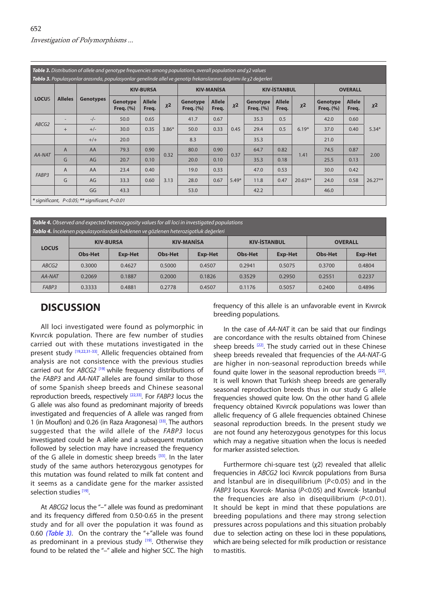<span id="page-3-0"></span>

| <b>Table 3.</b> Distribution of allele and genotype frequencies among populations, overall population and $\chi$ 2 values<br><b>Tablo 3.</b> Populasyonlar arasında, populasyonlar genelinde allel ve genotip frekanslarının dağılımı ile x2 değerleri |                |                  |                                  |                        |         |                              |                        |         |                              |                        |           |                                 |                        |           |
|--------------------------------------------------------------------------------------------------------------------------------------------------------------------------------------------------------------------------------------------------------|----------------|------------------|----------------------------------|------------------------|---------|------------------------------|------------------------|---------|------------------------------|------------------------|-----------|---------------------------------|------------------------|-----------|
| <b>LOCUS</b>                                                                                                                                                                                                                                           | <b>Alleles</b> | <b>Genotypes</b> | <b>KIV-BURSA</b>                 |                        |         | <b>KIV-MANISA</b>            |                        |         | <b>KIV-İSTANBUL</b>          |                        |           | <b>OVERALL</b>                  |                        |           |
|                                                                                                                                                                                                                                                        |                |                  | <b>Genotype</b><br>Freq. $(\% )$ | <b>Allele</b><br>Freq. | $X^2$   | Genotype<br><b>Freq.</b> (%) | <b>Allele</b><br>Freq. | $X^2$   | Genotype<br><b>Freq.</b> (%) | <b>Allele</b><br>Freq. | $x^2$     | <b>Genotype</b><br>Freq. $(\%)$ | <b>Allele</b><br>Freq. | $X^2$     |
| ABCG2                                                                                                                                                                                                                                                  |                | $-/-$            | 50.0                             | 0.65                   | $3.86*$ | 41.7                         | 0.67                   | 0.45    | 35.3                         | 0.5                    | $6.19*$   | 42.0                            | 0.60                   | $5.34*$   |
|                                                                                                                                                                                                                                                        | $+$            | $+/-$            | 30.0                             | 0.35                   |         | 50.0                         | 0.33                   |         | 29.4                         | 0.5                    |           | 37.0                            | 0.40                   |           |
|                                                                                                                                                                                                                                                        |                | $+/+$            | 20.0                             |                        |         | 8.3                          |                        |         | 35.3                         |                        |           | 21.0                            |                        |           |
| AA-NAT                                                                                                                                                                                                                                                 | $\overline{A}$ | AA               | 79.3                             | 0.90                   | 0.32    | 80.0                         | 0.90                   | 0.37    | 64.7                         | 0.82                   | 1.41      | 74.5                            | 0.87                   | 2.00      |
|                                                                                                                                                                                                                                                        | G              | AG               | 20.7                             | 0.10                   |         | 20.0                         | 0.10                   |         | 35.3                         | 0.18                   |           | 25.5                            | 0.13                   |           |
| FABP3                                                                                                                                                                                                                                                  | $\overline{A}$ | AA               | 23.4                             | 0.40                   | 3.13    | 19.0                         | 0.33                   | $5.49*$ | 47.0                         | 0.53                   | $20.63**$ | 30.0                            | 0.42                   | $26.27**$ |
|                                                                                                                                                                                                                                                        | G              | AG               | 33.3                             | 0.60                   |         | 28.0                         | 0.67                   |         | 11.8                         | 0.47                   |           | 24.0                            | 0.58                   |           |
|                                                                                                                                                                                                                                                        |                | GG               | 43.3                             |                        |         | 53.0                         |                        |         | 42.2                         |                        |           | 46.0                            |                        |           |
| * significant, P<0.05; ** significant, P<0.01                                                                                                                                                                                                          |                |                  |                                  |                        |         |                              |                        |         |                              |                        |           |                                 |                        |           |

| Table 4. Observed and expected heterozygosity values for all loci in investigated populations<br>Tablo 4. İncelenen populasyonlardaki beklenen ve gözlenen heterozigotluk değerleri |                  |                |                   |         |                     |                |                |                |  |  |
|-------------------------------------------------------------------------------------------------------------------------------------------------------------------------------------|------------------|----------------|-------------------|---------|---------------------|----------------|----------------|----------------|--|--|
| <b>LOCUS</b>                                                                                                                                                                        | <b>KIV-BURSA</b> |                | <b>KIV-MANISA</b> |         | <b>KIV-İSTANBUL</b> |                | <b>OVERALL</b> |                |  |  |
|                                                                                                                                                                                     | <b>Obs-Het</b>   | <b>Exp-Het</b> | Obs-Het           | Exp-Het | <b>Obs-Het</b>      | <b>Exp-Het</b> | <b>Obs-Het</b> | <b>Exp-Het</b> |  |  |
| ABCG2                                                                                                                                                                               | 0.3000           | 0.4627         | 0.5000            | 0.4507  | 0.2941              | 0.5075         | 0.3700         | 0.4804         |  |  |
| AA-NAT                                                                                                                                                                              | 0.2069           | 0.1887         | 0.2000            | 0.1826  | 0.3529              | 0.2950         | 0.2551         | 0.2237         |  |  |
| FABP <sub>3</sub>                                                                                                                                                                   | 0.3333           | 0.4881         | 0.2778            | 0.4507  | 0.1176              | 0.5057         | 0.2400         | 0.4896         |  |  |

## **DISCUSSION**

All loci investigated were found as polymorphic in Kıvırcık population. There are few number of studies carried out with these mutations investigated in the present study [\[19,22](#page-4-0)[,31-33](#page-5-0)]. Allelic frequencies obtained from analysis are not consistence with the previous studies carried out for *ABCG2* [\[19\]](#page-4-0) while frequency distributions of the *FABP3* and *AA-NAT* alleles are found similar to those of some Spanish sheep breeds and Chinese seasonal reproduction breeds, respectively [\[22,](#page-4-0)[33\]](#page-5-0). For *FABP3* locus the G allele was also found as predominant majority of breeds investigated and frequencies of A allele was ranged from 1 (in Mouflon) and 0.26 (in Raza Aragonesa) [\[33\]](#page-5-0). The authors suggested that the wild allele of the *FABP3* locus investigated could be A allele and a subsequent mutation followed by selection may have increased the frequency of the G allele in domestic sheep breeds  $[33]$ . In the later study of the same authors heterozygous genotypes for this mutation was found related to milk fat content and it seems as a candidate gene for the marker assisted selection studies [\[19\]](#page-4-0).

At *ABCG2* locus the "–" allele was found as predominant and its frequency differed from 0.50-0.65 in the present study and for all over the population it was found as 0.60 *(Table 3)*. On the contrary the "+"allele was found as predominant in a previous study  $[19]$ . Otherwise they found to be related the "–" allele and higher SCC. The high frequency of this allele is an unfavorable event in Kıvırcık breeding populations.

In the case of *AA-NAT* it can be said that our findings are concordance with the results obtained from Chinese sheep breeds  $[22]$ . The study carried out in these Chinese sheep breeds revealed that frequencies of the *AA-NAT*-G are higher in non-seasonal reproduction breeds while found quite lower in the seasonal reproduction breeds [\[22\].](#page-4-0) It is well known that Turkish sheep breeds are generally seasonal reproduction breeds thus in our study G allele frequencies showed quite low. On the other hand G allele frequency obtained Kıvırcık populations was lower than allelic frequency of G allele frequencies obtained Chinese seasonal reproduction breeds. In the present study we are not found any heterozygous genotypes for this locus which may a negative situation when the locus is needed for marker assisted selection.

Furthermore chi-square test (*χ*2) revealed that allelic frequencies in *ABCG2* loci Kıvırcık populations from Bursa and İstanbul are in disequilibrium (*P*<0.05) and in the *FABP3* locus Kıvırcık- Manisa (*P*<0.05) and Kıvırcık- İstanbul the frequencies are also in disequilibrium (*P*<0.01). It should be kept in mind that these populations are breeding populations and there may strong selection pressures across populations and this situation probably due to selection acting on these loci in these populations, which are being selected for milk production or resistance to mastitis.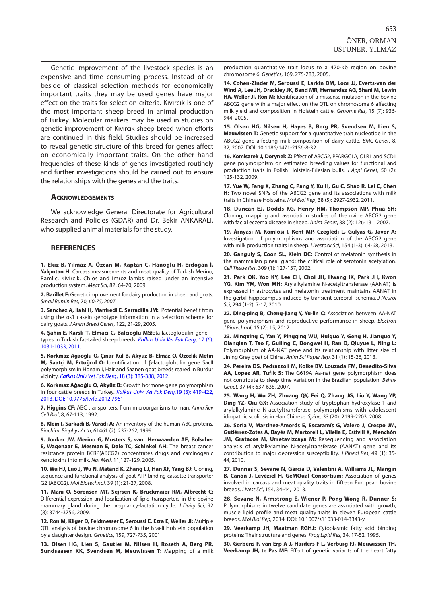<span id="page-4-0"></span>Genetic improvement of the livestock species is an expensive and time consuming process. Instead of or beside of classical selection methods for economically important traits they may be used genes have major effect on the traits for selection criteria. Kıvırcık is one of the most important sheep breed in animal production of Turkey. Molecular markers may be used in studies on genetic improvement of Kıvırcık sheep breed when efforts are continued in this field. Studies should be increased to reveal genetic structure of this breed for genes affect on economically important traits. On the other hand frequencies of these kinds of genes investigated routinely and further investigations should be carried out to ensure the relationships with the genes and the traits.

#### **Acknowledgements**

We acknowledge General Directorate for Agricultural Research and Policies (GDAR) and Dr. Bekir ANKARALI, who supplied animal materials for the study.

#### **REFERENCES**

**1. Ekiz B, Yılmaz A, Özcan M, Kaptan C, Hanoğlu H, Erdoğan İ,** Yalcintan H: Carcass measurements and meat quality of Turkish Merino, Ramlic, Kivircik, Chios and Imroz lambs raised under an intensive production system. *Meat Sci,* 82, 64-70, 2009.

**2. Barillet F:**Genetic improvement for dairy production in sheep and goats. *Small Rumin Res,* 70*, 60-75, 2007.*

**3. Sanchez A, Ilahi H, Manfredi E, Serradilla JM:** Potential benefit from using the αs1 casein genotype information in a selection scheme for dairy goats. *J Anim Breed Genet*, 122, 21-29, 2005.

**4. Şahin E, Karslı T, Elmacı C, Balcıoğlu MS:** Beta-lactoglobulin gene [types in Turkish fat-tailed sheep breeds.](http://vetdergi.kafkas.edu.tr/extdocs/2011_6/1031-1033.pdf) *Kafkas Univ Vet Fak Derg*, 17 (6): 1031-1033, 2011.

**5. Korkmaz Ağaoğlu O, Çınar Kul B, Akyüz B, Elmaz O, Özcelik Metin M, Saatçi M, Ertuğrul O:** Identification of β-lactoglobulin gene SacII polymorphism in Honamli, Hair and Saanen goat breeds reared in Burdur vicinity. *[Kafkas Univ Vet Fak Derg](http://vetdergi.kafkas.edu.tr/extdocs/2012_3/385-388.pdf)*, 18 (3): 385-388, 2012.

**6. Korkmaz Ağaoğlu O, Akyüz B:** Growth hormone gene polymorphism in four cattle breeds in Turkey. *Kafkas Univ Vet Fak Derg*,19 (3): 419-422, [2013. DOI: 10.9775/kvfd.2012.7961](http://vetdergi.kafkas.edu.tr/extdocs/2013_3/419-422.pdf)

**7. Higgins CF:** ABC transporters: from microorganisms to man. *Annu Rev Cell Biol*, 8, 67-113, 1992.

**8. Klein I, Sarkadi B, Varadi A:** An inventory of the human ABC proteins. *Biochim Biophys Acta*, 61461 (2): 237-262, 1999.

**9. Jonker JW, Merino G, Musters S, van Herwaarden AE, Bolscher E, Wagenaar E, Mesman E, Dale TC, Schinkel AH:** The breast cancer resistance protein BCRP(ABCG2) concentrates drugs and carcinogenic xenotoxins into milk. *Nat Med*, 11,127-129, 2005.

**10. Wu HJ, Luo J, Wu N, Matand K, Zhang LJ, Han XF, Yang BJ:** Cloning, sequence and functional analysis of goat ATP binding cassette transporter G2 (ABCG2). *Mol Biotechnol*, 39 (1): 21-27, 2008.

**11. Mani O, Sorensen MT, Sejrsen K, Bruckmaier RM, Albrecht C:** Differential expression and localization of lipid transporters in the bovine mammary gland during the pregnancy-lactation cycle. *J Dairy Sci*, 92 (8): 3744-3756, 2009.

**12. Ron M, Kliger D, Feldmesser E, Seroussi E, Ezra E, Weller JI:** Multiple QTL analysis of bovine chromosome 6 in the Israeli Holstein population by a daughter design. *Genetics*, 159, 727-735, 2001.

**13. Olsen HG, Lien S, Gautier M, Nilsen H, Roseth A, Berg PR, Sundsaasen KK, Svendsen M, Meuwissen T:** Mapping of a milk production quantitative trait locus to a 420-kb region on bovine chromosome 6. *Genetics*, 169, 275-283, 2005.

**14. Cohen-Zinder M, Seroussi E, Larkin DM, Loor JJ, Everts-van der Wind A, Lee JH, Drackley JK, Band MR, Hernandez AG, Shani M, Lewin HA, Weller JI, Ron M:** Identification of a missense mutation in the bovine ABCG2 gene with a major effect on the QTL on chromosome 6 affecting milk yield and composition in Holstein cattle. *Genome Res*, 15 (7): 936- 944, 2005.

**15. Olsen HG, Nilsen H, Hayes B, Berg PR, Svendsen M, Lien S, Meuwissen T:** Genetic support for a quantitative trait nucleotide in the ABCG2 gene affecting milk composition of dairy cattle. *BMC Genet*, 8, 32, 2007. DOI: 10.1186/1471-2156-8-32

**16. Komisarek J, Dorynek Z:** Effect of ABCG2, PPARGC1A, OLR1 and SCD1 gene polymorphism on estimated breeding values for functional and production traits in Polish Holstein-Friesian bulls. *J Appl Genet*, 50 (2): 125-132, 2009.

**17. Yue W, Fang X, Zhang C, Pang Y, Xu H, Gu C, Shao R, Lei C, Chen H:** Two novel SNPs of the ABCG2 gene and its associations with milk traits in Chinese Holsteins. *Mol Biol Rep*, 38 (5): 2927-2932, 2011.

**18. Duncan EJ, Dodds KG, Henry HM, Thompson MP, Phua SH:** Cloning, mapping and association studies of the ovine ABCG2 gene with facial eczema disease in sheep. *Anim Genet*, 38 (2): 126-131, 2007.

**19. Árnyasi M, Komlósi I, Kent MP, Czeglédi L, Gulyás G, Jávor A:** Investigation of polymorphisms and association of the ABCG2 gene with milk production traits in sheep. *Livestock Sci*, 154 (1-3): 64-68, 2013.

**20. Ganguly S, Coon SL, Klein DC:** Control of melatonin synthesis in the mammalian pineal gland: the critical role of serotonin acetylation. *Cell Tissue Res*, 309 (1): 127-137, 2002.

**21. Park OK, Yoo KY, Lee CH, Choi JH, Hwang IK, Park JH, Kwon YG, Kim YM, Won MH:** Arylalkylamine N-acetyltransferase (AANAT) is expressed in astrocytes and melatonin treatment maintains AANAT in the gerbil hippocampus induced by transient cerebral ischemia. *J Neurol Sci*, 294 (1-2): 7-17, 2010.

**22. Ding-ping B, Cheng-jiang Y, Yu-lin C:** Association between AA-NAT gene polymorphism and reproductive performance in sheep. *Electron J Biotechnol*, 15 (2): 15, 2012.

**23. Mingxing C, Yan Y, Pingqing WU, Huiguo Y, Geng H, Jianguo Y, Qianqian T, Tao F, Guiling C, Dongwei H, Ran D, Qiuyue L, Ning L:** Polymorphism of AA-NAT gene and its relationship with litter size of Jining Grey goat of China. *Anim Sci Paper Rep*, 31 (1): 15-26, 2013.

**24. Pereira DS, Pedrazzoli M, Koike BV, Louzada FM, Benedito-Silva AA, Lopez AR, Tufik S:** The G619A Aa-nat gene polymorphism does not contribute to sleep time variation in the Brazilian population. *Behav Genet*, 37 (4): 637-638, 2007.

**25. Wang H, Wu ZH, Zhuang QY, Fei Q, Zhang JG, Liu Y, Wang YP, Ding YZ, Qiu GX:** Association study of tryptophan hydroxylase 1 and arylalkylamine N-acetyltransferase polymorphisms with adolescent idiopathic scoliosis in Han Chinese. *Spine*, 33 (20): 2199-2203, 2008.

**26. Soria V, Martínez-Amorós E, Escaramís G, Valero J, Crespo JM, Gutiérrez-Zotes A, Bayés M, Martorell L, Vilella E, Estivill X, Menchón JM, Gratacòs M, Urretavizcaya M:** Resequencing and association analysis of arylalkylamine N-acetyltransferase (AANAT) gene and its contribution to major depression susceptibility. *J Pineal Res*, 49 (1): 35- 44, 2010.

**27. Dunner S, Sevane N, García D, Valentini A, Williams JL, Mangin B, Cañón J, Levéziel H, GeMQual Consortium:** Association of genes involved in carcass and meat quality traits in fifteen European bovine breeds. *Livest Sci*, 154, 34-44, 2013.

**28. Sevane N, Armstrong E, Wiener P, Pong Wong R, Dunner S:** Polymorphisms in twelve candidate genes are associated with growth, muscle lipid profile and meat quality traits in eleven European cattle breeds. *Mol Biol Rep*, 2014. DOI: 10.1007/s11033-014-3343-y

**29. Veerkamp JH, Maatman RGHJ:** Cytoplasmic fatty acid binding proteins: Their structure and genes. *Prog Lipid Res*, 34, 17-52, 1995.

**30. Gerbens F, van Erp A J, Harders F L, Verburg FJ, Meuwissen TH, Veerkamp JH, te Pas MF:** Effect of genetic variants of the heart fatty